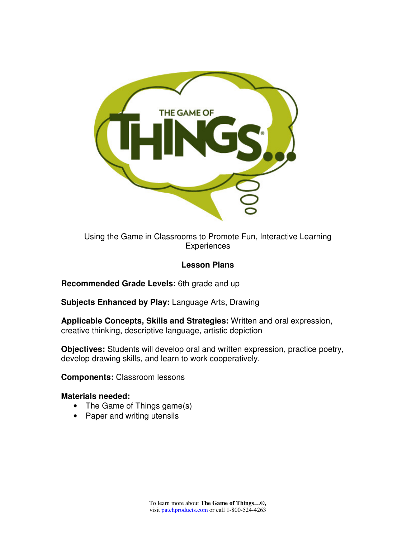

Using the Game in Classrooms to Promote Fun, Interactive Learning **Experiences** 

# **Lesson Plans**

**Recommended Grade Levels:** 6th grade and up

**Subjects Enhanced by Play:** Language Arts, Drawing

**Applicable Concepts, Skills and Strategies:** Written and oral expression, creative thinking, descriptive language, artistic depiction

**Objectives:** Students will develop oral and written expression, practice poetry, develop drawing skills, and learn to work cooperatively.

**Components:** Classroom lessons

#### **Materials needed:**

- The Game of Things game(s)
- Paper and writing utensils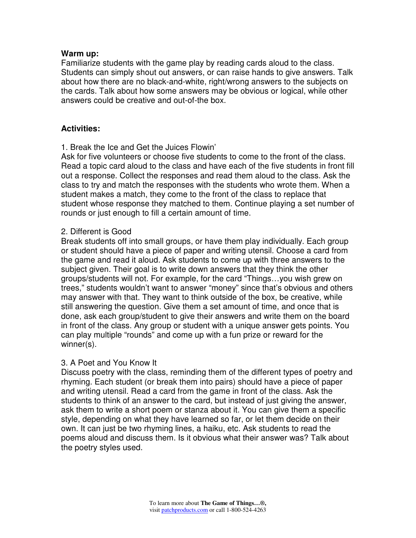# **Warm up:**

Familiarize students with the game play by reading cards aloud to the class. Students can simply shout out answers, or can raise hands to give answers. Talk about how there are no black-and-white, right/wrong answers to the subjects on the cards. Talk about how some answers may be obvious or logical, while other answers could be creative and out-of-the box.

# **Activities:**

1. Break the Ice and Get the Juices Flowin'

Ask for five volunteers or choose five students to come to the front of the class. Read a topic card aloud to the class and have each of the five students in front fill out a response. Collect the responses and read them aloud to the class. Ask the class to try and match the responses with the students who wrote them. When a student makes a match, they come to the front of the class to replace that student whose response they matched to them. Continue playing a set number of rounds or just enough to fill a certain amount of time.

## 2. Different is Good

Break students off into small groups, or have them play individually. Each group or student should have a piece of paper and writing utensil. Choose a card from the game and read it aloud. Ask students to come up with three answers to the subject given. Their goal is to write down answers that they think the other groups/students will not. For example, for the card "Things…you wish grew on trees," students wouldn't want to answer "money" since that's obvious and others may answer with that. They want to think outside of the box, be creative, while still answering the question. Give them a set amount of time, and once that is done, ask each group/student to give their answers and write them on the board in front of the class. Any group or student with a unique answer gets points. You can play multiple "rounds" and come up with a fun prize or reward for the winner(s).

#### 3. A Poet and You Know It

Discuss poetry with the class, reminding them of the different types of poetry and rhyming. Each student (or break them into pairs) should have a piece of paper and writing utensil. Read a card from the game in front of the class. Ask the students to think of an answer to the card, but instead of just giving the answer, ask them to write a short poem or stanza about it. You can give them a specific style, depending on what they have learned so far, or let them decide on their own. It can just be two rhyming lines, a haiku, etc. Ask students to read the poems aloud and discuss them. Is it obvious what their answer was? Talk about the poetry styles used.